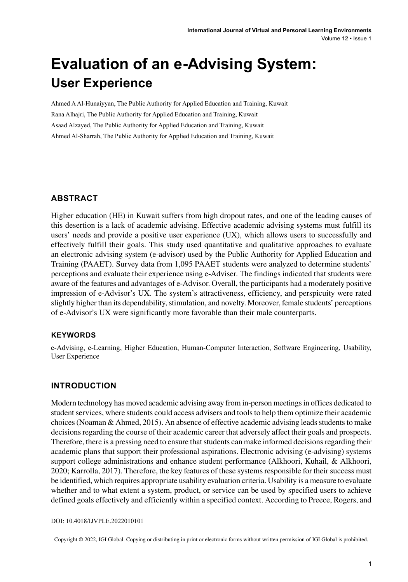# **Evaluation of an e-Advising System: User Experience**

Ahmed A Al-Hunaiyyan, The Public Authority for Applied Education and Training, Kuwait Rana Alhajri, The Public Authority for Applied Education and Training, Kuwait Asaad Alzayed, The Public Authority for Applied Education and Training, Kuwait Ahmed Al-Sharrah, The Public Authority for Applied Education and Training, Kuwait

#### **ABSTRACT**

Higher education (HE) in Kuwait suffers from high dropout rates, and one of the leading causes of this desertion is a lack of academic advising. Effective academic advising systems must fulfill its users' needs and provide a positive user experience (UX), which allows users to successfully and effectively fulfill their goals. This study used quantitative and qualitative approaches to evaluate an electronic advising system (e-advisor) used by the Public Authority for Applied Education and Training (PAAET). Survey data from 1,095 PAAET students were analyzed to determine students' perceptions and evaluate their experience using e-Adviser. The findings indicated that students were aware of the features and advantages of e-Advisor. Overall, the participants had a moderately positive impression of e-Advisor's UX. The system's attractiveness, efficiency, and perspicuity were rated slightly higher than its dependability, stimulation, and novelty. Moreover, female students' perceptions of e-Advisor's UX were significantly more favorable than their male counterparts.

#### **Keywords**

e-Advising, e-Learning, Higher Education, Human-Computer Interaction, Software Engineering, Usability, User Experience

#### **INTRODUCTION**

Modern technology has moved academic advising away from in-person meetings in offices dedicated to student services, where students could access advisers and tools to help them optimize their academic choices (Noaman & Ahmed, 2015). An absence of effective academic advising leads students to make decisions regarding the course of their academic career that adversely affect their goals and prospects. Therefore, there is a pressing need to ensure that students can make informed decisions regarding their academic plans that support their professional aspirations. Electronic advising (e-advising) systems support college administrations and enhance student performance (Alkhoori, Kuhail, & Alkhoori, 2020; Karrolla, 2017). Therefore, the key features of these systems responsible for their success must be identified, which requires appropriate usability evaluation criteria. Usability is a measure to evaluate whether and to what extent a system, product, or service can be used by specified users to achieve defined goals effectively and efficiently within a specified context. According to Preece, Rogers, and

DOI: 10.4018/IJVPLE.2022010101

Copyright © 2022, IGI Global. Copying or distributing in print or electronic forms without written permission of IGI Global is prohibited.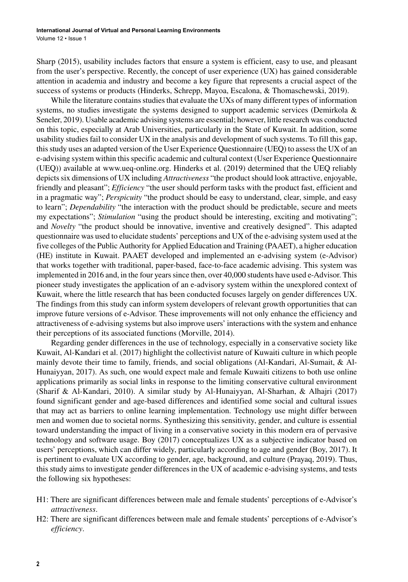Sharp (2015), usability includes factors that ensure a system is efficient, easy to use, and pleasant from the user's perspective. Recently, the concept of user experience (UX) has gained considerable attention in academia and industry and become a key figure that represents a crucial aspect of the success of systems or products (Hinderks, Schrepp, Mayoa, Escalona, & Thomaschewski, 2019).

While the literature contains studies that evaluate the UXs of many different types of information systems, no studies investigate the systems designed to support academic services (Demirkola  $\&$ Seneler, 2019). Usable academic advising systems are essential; however, little research was conducted on this topic, especially at Arab Universities, particularly in the State of Kuwait. In addition, some usability studies fail to consider UX in the analysis and development of such systems. To fill this gap, thisstudy uses an adapted version of the User Experience Questionnaire (UEQ) to assessthe UX of an e-advising system within thisspecific academic and cultural context (User Experience Questionnaire (UEQ)) available at www.ueq-online.org. Hinderks et al. (2019) determined that the UEQ reliably depicts six dimensions of UX including *Attractiveness* "the product should look attractive, enjoyable, friendly and pleasant"; *Efficiency* "the user should perform tasks with the product fast, efficient and in a pragmatic way"; *Perspicuity* "the product should be easy to understand, clear, simple, and easy to learn"; *Dependability* "the interaction with the product should be predictable, secure and meets my expectations"; *Stimulation* "using the product should be interesting, exciting and motivating"; and *Novelty* "the product should be innovative, inventive and creatively designed". This adapted questionnaire was used to elucidate students' perceptions and UX of the e-advising system used at the five colleges of the Public Authority for Applied Education and Training (PAAET), a higher education (HE) institute in Kuwait. PAAET developed and implemented an e-advising system (e-Advisor) that works together with traditional, paper-based, face-to-face academic advising. This system was implemented in 2016 and, in the four years since then, over 40,000 students have used e-Advisor. This pioneer study investigates the application of an e-advisory system within the unexplored context of Kuwait, where the little research that has been conducted focuses largely on gender differences UX. The findings from this study can inform system developers of relevant growth opportunities that can improve future versions of e-Advisor. These improvements will not only enhance the efficiency and attractiveness of e-advising systems but also improve users' interactions with the system and enhance their perceptions of its associated functions (Morville, 2014).

Regarding gender differences in the use of technology, especially in a conservative society like Kuwait, Al-Kandari et al. (2017) highlight the collectivist nature of Kuwaiti culture in which people mainly devote their time to family, friends, and social obligations (Al-Kandari, Al-Sumait, & Al-Hunaiyyan, 2017). As such, one would expect male and female Kuwaiti citizens to both use online applications primarily as social links in response to the limiting conservative cultural environment (Sharif & Al-Kandari, 2010). A similar study by Al-Hunaiyyan, Al-Sharhan, & Alhajri (2017) found significant gender and age-based differences and identified some social and cultural issues that may act as barriers to online learning implementation. Technology use might differ between men and women due to societal norms. Synthesizing this sensitivity, gender, and culture is essential toward understanding the impact of living in a conservative society in this modern era of pervasive technology and software usage. Boy (2017) conceptualizes UX as a subjective indicator based on users' perceptions, which can differ widely, particularly according to age and gender (Boy, 2017). It is pertinent to evaluate UX according to gender, age, background, and culture (Prayaq, 2019). Thus, this study aims to investigate gender differences in the UX of academic e-advising systems, and tests the following six hypotheses:

- H1: There are significant differences between male and female students' perceptions of e-Advisor's *attractiveness*.
- H2: There are significant differences between male and female students' perceptions of e-Advisor's *efficiency*.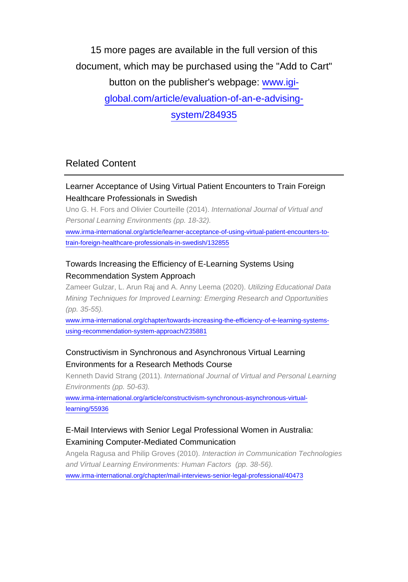15 more pages are available in the full version of this document, which may be purchased using the "Add to Cart" button on the publisher's webpage: [www.igi](http://www.igi-global.com/article/evaluation-of-an-e-advising-system/284935)[global.com/article/evaluation-of-an-e-advising](http://www.igi-global.com/article/evaluation-of-an-e-advising-system/284935)[system/284935](http://www.igi-global.com/article/evaluation-of-an-e-advising-system/284935)

## Related Content

#### Learner Acceptance of Using Virtual Patient Encounters to Train Foreign Healthcare Professionals in Swedish

Uno G. H. Fors and Olivier Courteille (2014). International Journal of Virtual and Personal Learning Environments (pp. 18-32).

[www.irma-international.org/article/learner-acceptance-of-using-virtual-patient-encounters-to](http://www.irma-international.org/article/learner-acceptance-of-using-virtual-patient-encounters-to-train-foreign-healthcare-professionals-in-swedish/132855)[train-foreign-healthcare-professionals-in-swedish/132855](http://www.irma-international.org/article/learner-acceptance-of-using-virtual-patient-encounters-to-train-foreign-healthcare-professionals-in-swedish/132855)

#### Towards Increasing the Efficiency of E-Learning Systems Using Recommendation System Approach

Zameer Gulzar, L. Arun Raj and A. Anny Leema (2020). Utilizing Educational Data Mining Techniques for Improved Learning: Emerging Research and Opportunities (pp. 35-55).

[www.irma-international.org/chapter/towards-increasing-the-efficiency-of-e-learning-systems](http://www.irma-international.org/chapter/towards-increasing-the-efficiency-of-e-learning-systems-using-recommendation-system-approach/235881)[using-recommendation-system-approach/235881](http://www.irma-international.org/chapter/towards-increasing-the-efficiency-of-e-learning-systems-using-recommendation-system-approach/235881)

#### Constructivism in Synchronous and Asynchronous Virtual Learning Environments for a Research Methods Course

Kenneth David Strang (2011). International Journal of Virtual and Personal Learning Environments (pp. 50-63).

[www.irma-international.org/article/constructivism-synchronous-asynchronous-virtual](http://www.irma-international.org/article/constructivism-synchronous-asynchronous-virtual-learning/55936)[learning/55936](http://www.irma-international.org/article/constructivism-synchronous-asynchronous-virtual-learning/55936)

## E-Mail Interviews with Senior Legal Professional Women in Australia: Examining Computer-Mediated Communication

Angela Ragusa and Philip Groves (2010). Interaction in Communication Technologies and Virtual Learning Environments: Human Factors (pp. 38-56). [www.irma-international.org/chapter/mail-interviews-senior-legal-professional/40473](http://www.irma-international.org/chapter/mail-interviews-senior-legal-professional/40473)